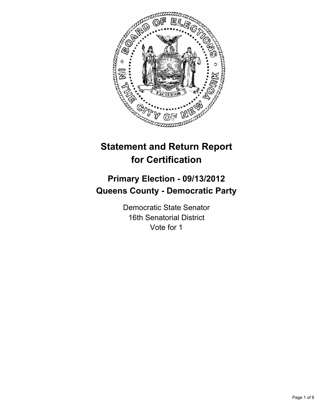

# **Statement and Return Report for Certification**

## **Primary Election - 09/13/2012 Queens County - Democratic Party**

Democratic State Senator 16th Senatorial District Vote for 1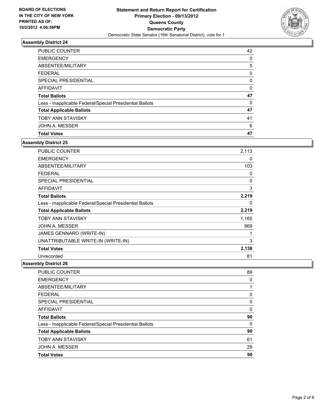

| <b>PUBLIC COUNTER</b>                                    | 42 |
|----------------------------------------------------------|----|
| <b>EMERGENCY</b>                                         | 0  |
| ABSENTEE/MILITARY                                        | 5  |
| <b>FEDERAL</b>                                           | 0  |
| SPECIAL PRESIDENTIAL                                     | 0  |
| AFFIDAVIT                                                | 0  |
|                                                          |    |
| <b>Total Ballots</b>                                     | 47 |
| Less - Inapplicable Federal/Special Presidential Ballots | 0  |
| <b>Total Applicable Ballots</b>                          | 47 |
| <b>TOBY ANN STAVISKY</b>                                 | 41 |
| JOHN A. MESSER                                           | 6  |

### **Assembly District 25**

| PUBLIC COUNTER                                           | 2,113 |
|----------------------------------------------------------|-------|
| <b>EMERGENCY</b>                                         | 0     |
| <b>ABSENTEE/MILITARY</b>                                 | 103   |
| <b>FEDERAL</b>                                           | 0     |
| <b>SPECIAL PRESIDENTIAL</b>                              | 0     |
| <b>AFFIDAVIT</b>                                         | 3     |
| <b>Total Ballots</b>                                     | 2,219 |
| Less - Inapplicable Federal/Special Presidential Ballots | 0     |
| <b>Total Applicable Ballots</b>                          | 2,219 |
| <b>TOBY ANN STAVISKY</b>                                 | 1,165 |
| JOHN A. MESSER                                           | 969   |
| JAMES GENNARO (WRITE-IN)                                 | 1     |
| UNATTRIBUTABLE WRITE-IN (WRITE-IN)                       | 3     |
| <b>Total Votes</b>                                       | 2,138 |
| Unrecorded                                               | 81    |

| PUBLIC COUNTER                                           | 89 |
|----------------------------------------------------------|----|
| <b>EMERGENCY</b>                                         | 0  |
| ABSENTEE/MILITARY                                        | 1  |
| FEDERAL                                                  | 0  |
| SPECIAL PRESIDENTIAL                                     | 0  |
| AFFIDAVIT                                                | 0  |
| <b>Total Ballots</b>                                     | 90 |
| Less - Inapplicable Federal/Special Presidential Ballots | 0  |
| <b>Total Applicable Ballots</b>                          | 90 |
| <b>TOBY ANN STAVISKY</b>                                 | 61 |
| JOHN A. MESSER                                           | 29 |
| <b>Total Votes</b>                                       | 90 |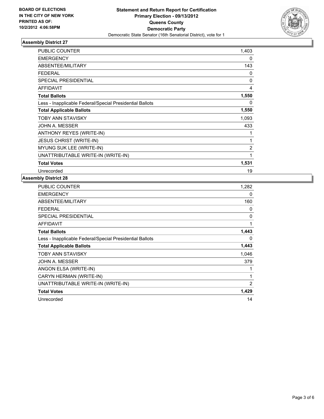

| <b>PUBLIC COUNTER</b>                                    | 1,403       |
|----------------------------------------------------------|-------------|
| <b>EMERGENCY</b>                                         | 0           |
| ABSENTEE/MILITARY                                        | 143         |
| <b>FEDERAL</b>                                           | 0           |
| <b>SPECIAL PRESIDENTIAL</b>                              | $\mathbf 0$ |
| <b>AFFIDAVIT</b>                                         | 4           |
| <b>Total Ballots</b>                                     | 1,550       |
| Less - Inapplicable Federal/Special Presidential Ballots | 0           |
| <b>Total Applicable Ballots</b>                          | 1,550       |
| <b>TOBY ANN STAVISKY</b>                                 | 1,093       |
| JOHN A. MESSER                                           | 433         |
| ANTHONY REYES (WRITE-IN)                                 | 1           |
| <b>JESUS CHRIST (WRITE-IN)</b>                           | 1           |
| MYUNG SUK LEE (WRITE-IN)                                 | 2           |
| UNATTRIBUTABLE WRITE-IN (WRITE-IN)                       | 1           |
| <b>Total Votes</b>                                       | 1,531       |
| Unrecorded                                               | 19          |

| PUBLIC COUNTER                                           | 1,282 |
|----------------------------------------------------------|-------|
| <b>EMERGENCY</b>                                         | 0     |
| ABSENTEE/MILITARY                                        | 160   |
| <b>FEDERAL</b>                                           | 0     |
| <b>SPECIAL PRESIDENTIAL</b>                              | 0     |
| <b>AFFIDAVIT</b>                                         | 1     |
| <b>Total Ballots</b>                                     | 1,443 |
| Less - Inapplicable Federal/Special Presidential Ballots | 0     |
| <b>Total Applicable Ballots</b>                          | 1,443 |
| TOBY ANN STAVISKY                                        | 1,046 |
| JOHN A. MESSER                                           | 379   |
| ANGON ELSA (WRITE-IN)                                    | 1     |
| CARYN HERMAN (WRITE-IN)                                  | 1     |
| UNATTRIBUTABLE WRITE-IN (WRITE-IN)                       | 2     |
| <b>Total Votes</b>                                       | 1,429 |
| Unrecorded                                               | 14    |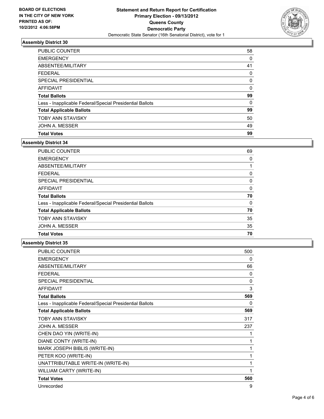

| <b>PUBLIC COUNTER</b>                                    | 58 |
|----------------------------------------------------------|----|
| <b>EMERGENCY</b>                                         | 0  |
| ABSENTEE/MILITARY                                        | 41 |
| FEDERAL                                                  | 0  |
| SPECIAL PRESIDENTIAL                                     | 0  |
| AFFIDAVIT                                                | 0  |
| <b>Total Ballots</b>                                     | 99 |
| Less - Inapplicable Federal/Special Presidential Ballots | 0  |
| <b>Total Applicable Ballots</b>                          | 99 |
| <b>TOBY ANN STAVISKY</b>                                 | 50 |
| JOHN A. MESSER                                           | 49 |
| <b>Total Votes</b>                                       | 99 |

### **Assembly District 34**

| <b>PUBLIC COUNTER</b>                                    | 69 |
|----------------------------------------------------------|----|
| <b>EMERGENCY</b>                                         | 0  |
| ABSENTEE/MILITARY                                        |    |
| FEDERAL                                                  | 0  |
| SPECIAL PRESIDENTIAL                                     | 0  |
| AFFIDAVIT                                                | 0  |
| <b>Total Ballots</b>                                     | 70 |
| Less - Inapplicable Federal/Special Presidential Ballots | 0  |
| <b>Total Applicable Ballots</b>                          | 70 |
| <b>TOBY ANN STAVISKY</b>                                 | 35 |
| JOHN A. MESSER                                           | 35 |
| <b>Total Votes</b>                                       | 70 |

| <b>PUBLIC COUNTER</b>                                    | 500 |
|----------------------------------------------------------|-----|
| <b>EMERGENCY</b>                                         | 0   |
| ABSENTEE/MILITARY                                        | 66  |
| <b>FEDERAL</b>                                           | 0   |
| SPECIAL PRESIDENTIAL                                     | 0   |
| <b>AFFIDAVIT</b>                                         | 3   |
| <b>Total Ballots</b>                                     | 569 |
| Less - Inapplicable Federal/Special Presidential Ballots | 0   |
| <b>Total Applicable Ballots</b>                          | 569 |
| TOBY ANN STAVISKY                                        | 317 |
| JOHN A. MESSER                                           | 237 |
| CHEN DAO YIN (WRITE-IN)                                  | 1   |
| DIANE CONTY (WRITE-IN)                                   | 1   |
| MARK JOSEPH BIBLIS (WRITE-IN)                            | 1   |
| PETER KOO (WRITE-IN)                                     | 1   |
| UNATTRIBUTABLE WRITE-IN (WRITE-IN)                       | 1   |
| WILLIAM CARTY (WRITE-IN)                                 | 1   |
| <b>Total Votes</b>                                       | 560 |
| Unrecorded                                               | 9   |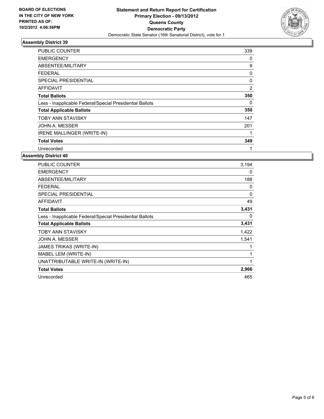

| <b>PUBLIC COUNTER</b>                                    | 339 |
|----------------------------------------------------------|-----|
| <b>EMERGENCY</b>                                         | 0   |
| ABSENTEE/MILITARY                                        | 9   |
| FEDERAL                                                  | 0   |
| SPECIAL PRESIDENTIAL                                     | 0   |
| <b>AFFIDAVIT</b>                                         | 2   |
| <b>Total Ballots</b>                                     | 350 |
| Less - Inapplicable Federal/Special Presidential Ballots | 0   |
| <b>Total Applicable Ballots</b>                          | 350 |
| <b>TOBY ANN STAVISKY</b>                                 | 147 |
| JOHN A. MESSER                                           | 201 |
| IRENE MALLINGER (WRITE-IN)                               |     |
| <b>Total Votes</b>                                       | 349 |
| Unrecorded                                               |     |

| <b>PUBLIC COUNTER</b>                                    | 3,194    |
|----------------------------------------------------------|----------|
| <b>EMERGENCY</b>                                         | 0        |
| ABSENTEE/MILITARY                                        | 188      |
| <b>FEDERAL</b>                                           | 0        |
| <b>SPECIAL PRESIDENTIAL</b>                              | $\Omega$ |
| <b>AFFIDAVIT</b>                                         | 49       |
| <b>Total Ballots</b>                                     | 3,431    |
| Less - Inapplicable Federal/Special Presidential Ballots | 0        |
| <b>Total Applicable Ballots</b>                          | 3,431    |
| <b>TOBY ANN STAVISKY</b>                                 | 1,422    |
| JOHN A. MESSER                                           | 1,541    |
| <b>JAMES TRIKAS (WRITE-IN)</b>                           | 1        |
| MABEL LEM (WRITE-IN)                                     | 1        |
| UNATTRIBUTABLE WRITE-IN (WRITE-IN)                       | 1        |
| <b>Total Votes</b>                                       | 2,966    |
| Unrecorded                                               | 465      |